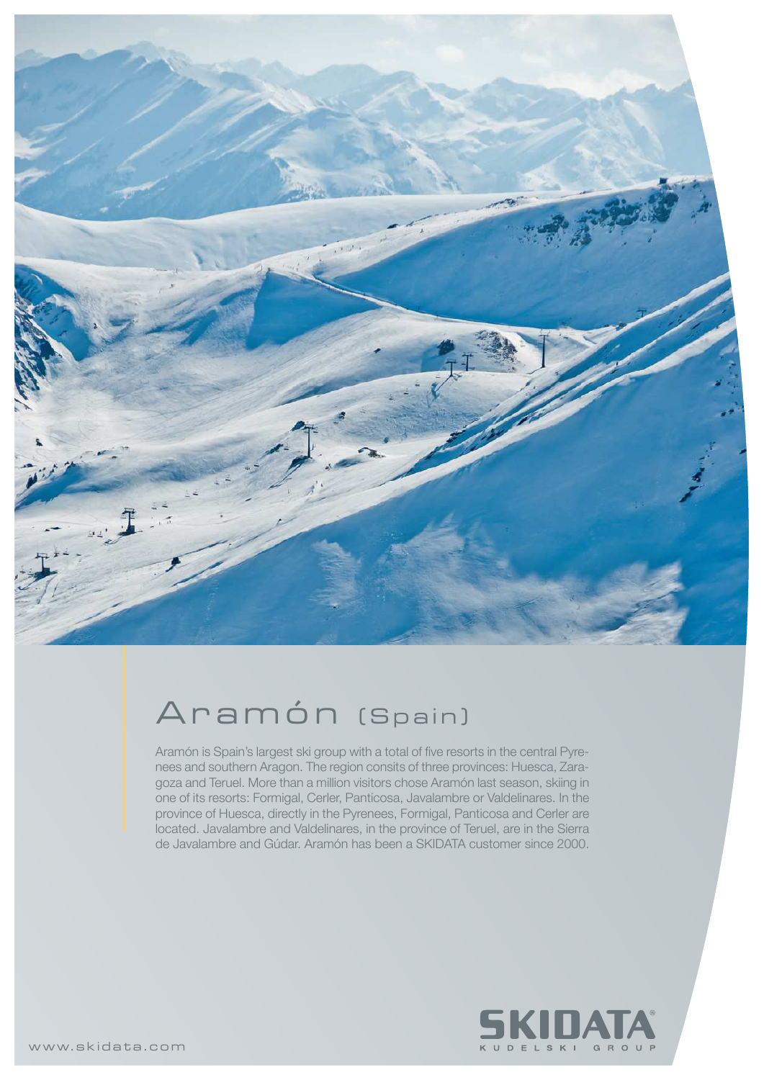

## Aramón (Spain)

Aramón is Spain's largest ski group with a total of five resorts in the central Pyrenees and southern Aragon. The region consits of three provinces: Huesca, Zaragoza and Teruel. More than a million visitors chose Aramón last season, skiing in one of its resorts: Formigal, Cerler, Panticosa, Javalambre or Valdelinares. In the province of Huesca, directly in the Pyrenees, Formigal, Panticosa and Cerler are located. Javalambre and Valdelinares, in the province of Teruel, are in the Sierra de Javalambre and Gúdar. Aramón has been a SKIDATA customer since 2000.